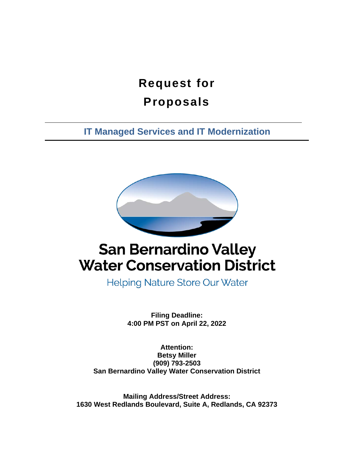# **Request for Proposals**

**IT Managed Services and IT Modernization**



# **San Bernardino Valley Water Conservation District**

**Helping Nature Store Our Water** 

**Filing Deadline: 4:00 PM PST on April 22, 2022**

**Attention: Betsy Miller (909) 793-2503 San Bernardino Valley Water Conservation District**

**Mailing Address/Street Address: 1630 West Redlands Boulevard, Suite A, Redlands, CA 92373**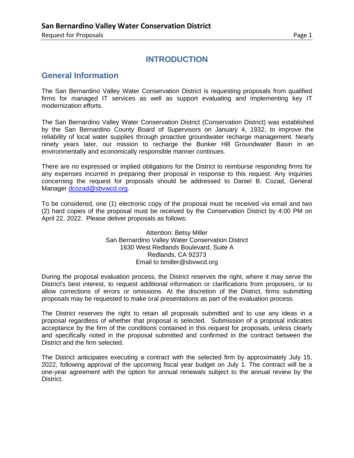# **INTRODUCTION**

### **General Information**

The San Bernardino Valley Water Conservation District is requesting proposals from qualified firms for managed IT services as well as support evaluating and implementing key IT modernization efforts.

The San Bernardino Valley Water Conservation District (Conservation District) was established by the San Bernardino County Board of Supervisors on January 4, 1932, to improve the reliability of local water supplies through proactive groundwater recharge management. Nearly ninety years later, our mission to recharge the Bunker Hill Groundwater Basin in an environmentally and economically responsible manner continues.

There are no expressed or implied obligations for the District to reimburse responding firms for any expenses incurred in preparing their proposal in response to this request. Any inquiries concerning the request for proposals should be addressed to Daniel B. Cozad, General Manager dcozad@sbywcd.org.

To be considered, one (1) electronic copy of the proposal must be received via email and two (2) hard copies of the proposal must be received by the Conservation District by 4:00 PM on April 22, 2022. Please deliver proposals as follows:

#### Attention: Betsy Miller San Bernardino Valley Water Conservation District 1630 West Redlands Boulevard, Suite A Redlands, CA 92373 Email to bmiller@sbvwcd.org

During the proposal evaluation process, the District reserves the right, where it may serve the District's best interest, to request additional information or clarifications from proposers, or to allow corrections of errors or omissions. At the discretion of the District, firms submitting proposals may be requested to make oral presentations as part of the evaluation process.

The District reserves the right to retain all proposals submitted and to use any ideas in a proposal regardless of whether that proposal is selected. Submission of a proposal indicates acceptance by the firm of the conditions contained in this request for proposals, unless clearly and specifically noted in the proposal submitted and confirmed in the contract between the District and the firm selected.

The District anticipates executing a contract with the selected firm by approximately July 15, 2022, following approval of the upcoming fiscal year budget on July 1. The contract will be a one-year agreement with the option for annual renewals subject to the annual review by the District.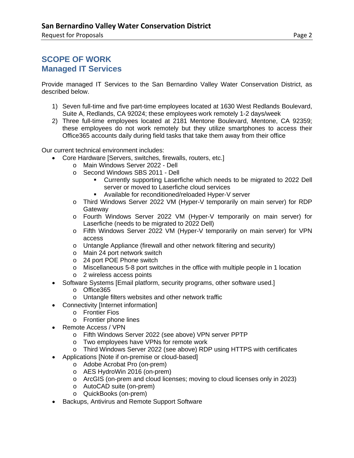# **SCOPE OF WORK Managed IT Services**

Provide managed IT Services to the San Bernardino Valley Water Conservation District, as described below.

- 1) Seven full-time and five part-time employees located at 1630 West Redlands Boulevard, Suite A, Redlands, CA 92024; these employees work remotely 1-2 days/week
- 2) Three full-time employees located at 2181 Mentone Boulevard, Mentone, CA 92359; these employees do not work remotely but they utilize smartphones to access their Office365 accounts daily during field tasks that take them away from their office

Our current technical environment includes:

- Core Hardware [Servers, switches, firewalls, routers, etc.]
	- o Main Windows Server 2022 Dell
	- o Second Windows SBS 2011 Dell
		- Currently supporting Laserfiche which needs to be migrated to 2022 Dell server or moved to Laserfiche cloud services
		- Available for reconditioned/reloaded Hyper-V server
	- o Third Windows Server 2022 VM (Hyper-V temporarily on main server) for RDP **Gateway**
	- o Fourth Windows Server 2022 VM (Hyper-V temporarily on main server) for Laserfiche (needs to be migrated to 2022 Dell)
	- o Fifth Windows Server 2022 VM (Hyper-V temporarily on main server) for VPN access
	- o Untangle Appliance (firewall and other network filtering and security)
	- o Main 24 port network switch
	- o 24 port POE Phone switch
	- o Miscellaneous 5-8 port switches in the office with multiple people in 1 location
	- o 2 wireless access points
- Software Systems [Email platform, security programs, other software used.]
	- o Office365
	- o Untangle filters websites and other network traffic
- Connectivity [Internet information]
	- o Frontier Fios
	- o Frontier phone lines
- Remote Access / VPN
	- o Fifth Windows Server 2022 (see above) VPN server PPTP
	- o Two employees have VPNs for remote work
	- o Third Windows Server 2022 (see above) RDP using HTTPS with certificates
- Applications [Note if on-premise or cloud-based]
	- o Adobe Acrobat Pro (on-prem)
	- o AES HydroWin 2016 (on-prem)
	- o ArcGIS (on-prem and cloud licenses; moving to cloud licenses only in 2023)
	- o AutoCAD suite (on-prem)
	- o QuickBooks (on-prem)
- Backups, Antivirus and Remote Support Software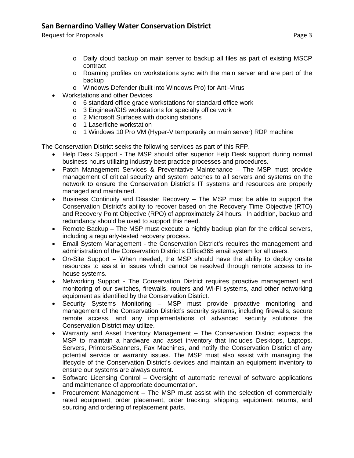- o Daily cloud backup on main server to backup all files as part of existing MSCP contract
- o Roaming profiles on workstations sync with the main server and are part of the backup
- o Windows Defender (built into Windows Pro) for Anti-Virus
- Workstations and other Devices
	- o 6 standard office grade workstations for standard office work
	- o 3 Engineer/GIS workstations for specialty office work
	- o 2 Microsoft Surfaces with docking stations
	- o 1 Laserfiche workstation
	- o 1 Windows 10 Pro VM (Hyper-V temporarily on main server) RDP machine

The Conservation District seeks the following services as part of this RFP.

- Help Desk Support The MSP should offer superior Help Desk support during normal business hours utilizing industry best practice processes and procedures.
- Patch Management Services & Preventative Maintenance The MSP must provide management of critical security and system patches to all servers and systems on the network to ensure the Conservation District's IT systems and resources are properly managed and maintained.
- Business Continuity and Disaster Recovery The MSP must be able to support the Conservation District's ability to recover based on the Recovery Time Objective (RTO) and Recovery Point Objective (RPO) of approximately 24 hours. In addition, backup and redundancy should be used to support this need.
- Remote Backup The MSP must execute a nightly backup plan for the critical servers, including a regularly-tested recovery process.
- Email System Management the Conservation District's requires the management and administration of the Conservation District's Office365 email system for all users.
- On-Site Support When needed, the MSP should have the ability to deploy onsite resources to assist in issues which cannot be resolved through remote access to inhouse systems.
- Networking Support The Conservation District requires proactive management and monitoring of our switches, firewalls, routers and Wi-Fi systems, and other networking equipment as identified by the Conservation District.
- Security Systems Monitoring MSP must provide proactive monitoring and management of the Conservation District's security systems, including firewalls, secure remote access, and any implementations of advanced security solutions the Conservation District may utilize.
- Warranty and Asset Inventory Management The Conservation District expects the MSP to maintain a hardware and asset inventory that includes Desktops, Laptops, Servers, Printers/Scanners, Fax Machines, and notify the Conservation District of any potential service or warranty issues. The MSP must also assist with managing the lifecycle of the Conservation District's devices and maintain an equipment inventory to ensure our systems are always current.
- Software Licensing Control Oversight of automatic renewal of software applications and maintenance of appropriate documentation.
- Procurement Management The MSP must assist with the selection of commercially rated equipment, order placement, order tracking, shipping, equipment returns, and sourcing and ordering of replacement parts.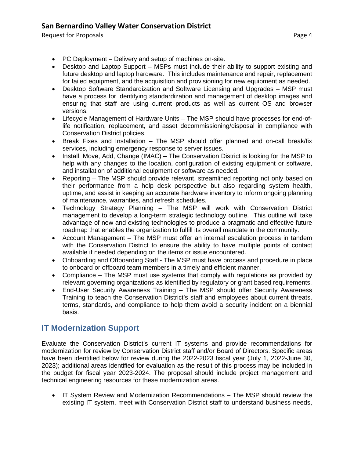- PC Deployment Delivery and setup of machines on-site.
- Desktop and Laptop Support MSPs must include their ability to support existing and future desktop and laptop hardware. This includes maintenance and repair, replacement for failed equipment, and the acquisition and provisioning for new equipment as needed.
- Desktop Software Standardization and Software Licensing and Upgrades MSP must have a process for identifying standardization and management of desktop images and ensuring that staff are using current products as well as current OS and browser versions.
- Lifecycle Management of Hardware Units The MSP should have processes for end-oflife notification, replacement, and asset decommissioning/disposal in compliance with Conservation District policies.
- Break Fixes and Installation The MSP should offer planned and on-call break/fix services, including emergency response to server issues.
- Install, Move, Add, Change (IMAC) The Conservation District is looking for the MSP to help with any changes to the location, configuration of existing equipment or software, and installation of additional equipment or software as needed.
- Reporting The MSP should provide relevant, streamlined reporting not only based on their performance from a help desk perspective but also regarding system health, uptime, and assist in keeping an accurate hardware inventory to inform ongoing planning of maintenance, warranties, and refresh schedules.
- Technology Strategy Planning The MSP will work with Conservation District management to develop a long-term strategic technology outline. This outline will take advantage of new and existing technologies to produce a pragmatic and effective future roadmap that enables the organization to fulfill its overall mandate in the community.
- Account Management The MSP must offer an internal escalation process in tandem with the Conservation District to ensure the ability to have multiple points of contact available if needed depending on the items or issue encountered.
- Onboarding and Offboarding Staff The MSP must have process and procedure in place to onboard or offboard team members in a timely and efficient manner.
- Compliance The MSP must use systems that comply with regulations as provided by relevant governing organizations as identified by regulatory or grant based requirements.
- End-User Security Awareness Training The MSP should offer Security Awareness Training to teach the Conservation District's staff and employees about current threats, terms, standards, and compliance to help them avoid a security incident on a biennial basis.

# **IT Modernization Support**

Evaluate the Conservation District's current IT systems and provide recommendations for modernization for review by Conservation District staff and/or Board of Directors. Specific areas have been identified below for review during the 2022-2023 fiscal year (July 1, 2022-June 30, 2023); additional areas identified for evaluation as the result of this process may be included in the budget for fiscal year 2023-2024. The proposal should include project management and technical engineering resources for these modernization areas.

• IT System Review and Modernization Recommendations – The MSP should review the existing IT system, meet with Conservation District staff to understand business needs,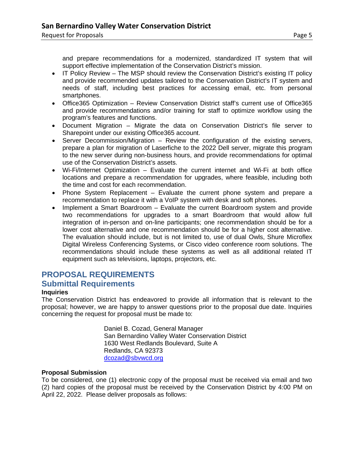and prepare recommendations for a modernized, standardized IT system that will support effective implementation of the Conservation District's mission.

- IT Policy Review The MSP should review the Conservation District's existing IT policy and provide recommended updates tailored to the Conservation District's IT system and needs of staff, including best practices for accessing email, etc. from personal smartphones.
- Office365 Optimization Review Conservation District staff's current use of Office365 and provide recommendations and/or training for staff to optimize workflow using the program's features and functions.
- Document Migration Migrate the data on Conservation District's file server to Sharepoint under our existing Office365 account.
- Server Decommission/Migration Review the configuration of the existing servers, prepare a plan for migration of Laserfiche to the 2022 Dell server, migrate this program to the new server during non-business hours, and provide recommendations for optimal use of the Conservation District's assets.
- Wi-Fi/Internet Optimization Evaluate the current internet and Wi-Fi at both office locations and prepare a recommendation for upgrades, where feasible, including both the time and cost for each recommendation.
- Phone System Replacement Evaluate the current phone system and prepare a recommendation to replace it with a VoIP system with desk and soft phones.
- Implement a Smart Boardroom Evaluate the current Boardroom system and provide two recommendations for upgrades to a smart Boardroom that would allow full integration of in-person and on-line participants; one recommendation should be for a lower cost alternative and one recommendation should be for a higher cost alternative. The evaluation should include, but is not limited to, use of dual Owls, Shure Microflex Digital Wireless Conferencing Systems, or Cisco video conference room solutions. The recommendations should include these systems as well as all additional related IT equipment such as televisions, laptops, projectors, etc.

## **PROPOSAL REQUIREMENTS Submittal Requirements**

### **Inquiries**

The Conservation District has endeavored to provide all information that is relevant to the proposal; however, we are happy to answer questions prior to the proposal due date. Inquiries concerning the request for proposal must be made to:

> Daniel B. Cozad, General Manager San Bernardino Valley Water Conservation District 1630 West Redlands Boulevard, Suite A Redlands, CA 92373 [dcozad@sbvwcd.org](mailto:dcozad@sbvwcd.org)

#### **Proposal Submission**

To be considered, one (1) electronic copy of the proposal must be received via email and two (2) hard copies of the proposal must be received by the Conservation District by 4:00 PM on April 22, 2022. Please deliver proposals as follows: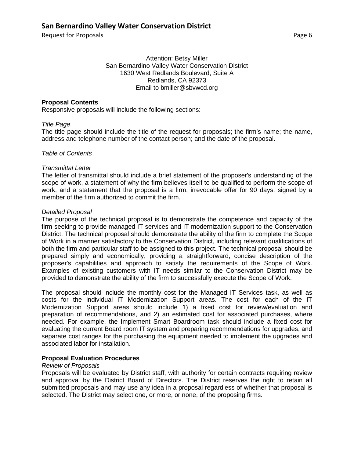Attention: Betsy Miller San Bernardino Valley Water Conservation District 1630 West Redlands Boulevard, Suite A Redlands, CA 92373 Email to bmiller@sbvwcd.org

#### **Proposal Contents**

Responsive proposals will include the following sections:

#### *Title Page*

The title page should include the title of the request for proposals; the firm's name; the name, address and telephone number of the contact person; and the date of the proposal.

#### *Table of Contents*

#### *Transmittal Letter*

The letter of transmittal should include a brief statement of the proposer's understanding of the scope of work, a statement of why the firm believes itself to be qualified to perform the scope of work, and a statement that the proposal is a firm, irrevocable offer for 90 days, signed by a member of the firm authorized to commit the firm.

#### *Detailed Proposal*

The purpose of the technical proposal is to demonstrate the competence and capacity of the firm seeking to provide managed IT services and IT modernization support to the Conservation District. The technical proposal should demonstrate the ability of the firm to complete the Scope of Work in a manner satisfactory to the Conservation District, including relevant qualifications of both the firm and particular staff to be assigned to this project. The technical proposal should be prepared simply and economically, providing a straightforward, concise description of the proposer's capabilities and approach to satisfy the requirements of the Scope of Work. Examples of existing customers with IT needs similar to the Conservation District may be provided to demonstrate the ability of the firm to successfully execute the Scope of Work.

The proposal should include the monthly cost for the Managed IT Services task, as well as costs for the individual IT Modernization Support areas. The cost for each of the IT Modernization Support areas should include 1) a fixed cost for review/evaluation and preparation of recommendations, and 2) an estimated cost for associated purchases, where needed. For example, the Implement Smart Boardroom task should include a fixed cost for evaluating the current Board room IT system and preparing recommendations for upgrades, and separate cost ranges for the purchasing the equipment needed to implement the upgrades and associated labor for installation.

#### **Proposal Evaluation Procedures**

#### *Review of Proposals*

Proposals will be evaluated by District staff, with authority for certain contracts requiring review and approval by the District Board of Directors. The District reserves the right to retain all submitted proposals and may use any idea in a proposal regardless of whether that proposal is selected. The District may select one, or more, or none, of the proposing firms.